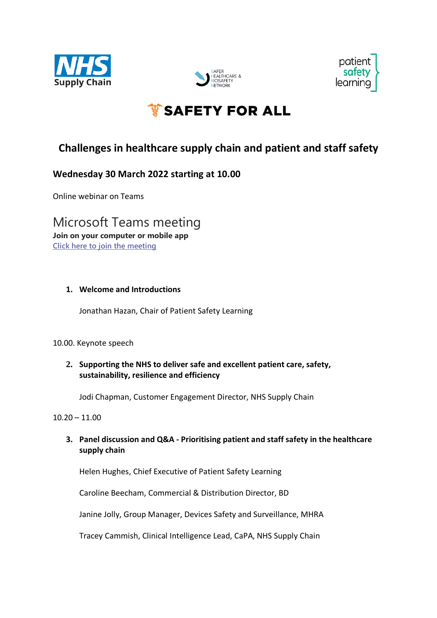





# ैं SAFETY FOR ALL

# **Challenges in healthcare supply chain and patient and staff safety**

# **Wednesday 30 March 2022 starting at 10.00**

Online webinar on Teams

Microsoft Teams meeting **Join on your computer or mobile app [Click here to join the meeting](https://teams.microsoft.com/l/meetup-join/19%3ameeting_NzEyNjYwNjUtYTQ2Yi00NWIzLTgwODUtYWE3YWUyYmE4YTE0%40thread.v2/0?context=%7b%22Tid%22%3a%228c4ea6f8-4032-4ae3-91ee-612a05746a2f%22%2c%22Oid%22%3a%2297c1ccc8-923c-481f-afd8-6c92f81e2ea5%22%7d)**

#### **1. Welcome and Introductions**

Jonathan Hazan, Chair of Patient Safety Learning

#### 10.00. Keynote speech

# **2. Supporting the NHS to deliver safe and excellent patient care, safety, sustainability, resilience and efficiency**

Jodi Chapman, Customer Engagement Director, NHS Supply Chain

#### $10.20 - 11.00$

**3. Panel discussion and Q&A - Prioritising patient and staff safety in the healthcare supply chain**

Helen Hughes, Chief Executive of Patient Safety Learning

Caroline Beecham, Commercial & Distribution Director, BD

Janine Jolly, Group Manager, Devices Safety and Surveillance, MHRA

Tracey Cammish, Clinical Intelligence Lead, CaPA, NHS Supply Chain